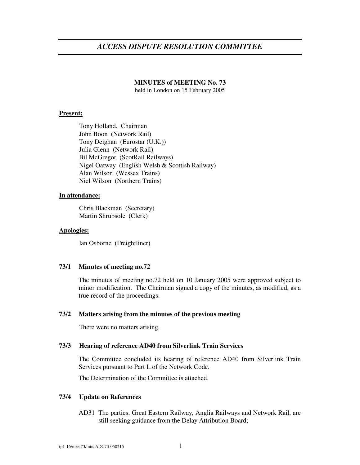# *ACCESS DISPUTE RESOLUTION COMMITTEE*

## **MINUTES of MEETING No. 73**

held in London on 15 February 2005

#### **Present:**

Tony Holland, Chairman John Boon (Network Rail) Tony Deighan (Eurostar (U.K.)) Julia Glenn (Network Rail) Bil McGregor (ScotRail Railways) Nigel Oatway (English Welsh & Scottish Railway) Alan Wilson (Wessex Trains) Niel Wilson (Northern Trains)

## **In attendance:**

Chris Blackman (Secretary) Martin Shrubsole (Clerk)

## **Apologies:**

Ian Osborne (Freightliner)

#### **73/1 Minutes of meeting no.72**

The minutes of meeting no.72 held on 10 January 2005 were approved subject to minor modification. The Chairman signed a copy of the minutes, as modified, as a true record of the proceedings.

#### **73/2 Matters arising from the minutes of the previous meeting**

There were no matters arising.

## **73/3 Hearing of reference AD40 from Silverlink Train Services**

The Committee concluded its hearing of reference AD40 from Silverlink Train Services pursuant to Part L of the Network Code.

The Determination of the Committee is attached.

# **73/4 Update on References**

AD31 The parties, Great Eastern Railway, Anglia Railways and Network Rail, are still seeking guidance from the Delay Attribution Board;